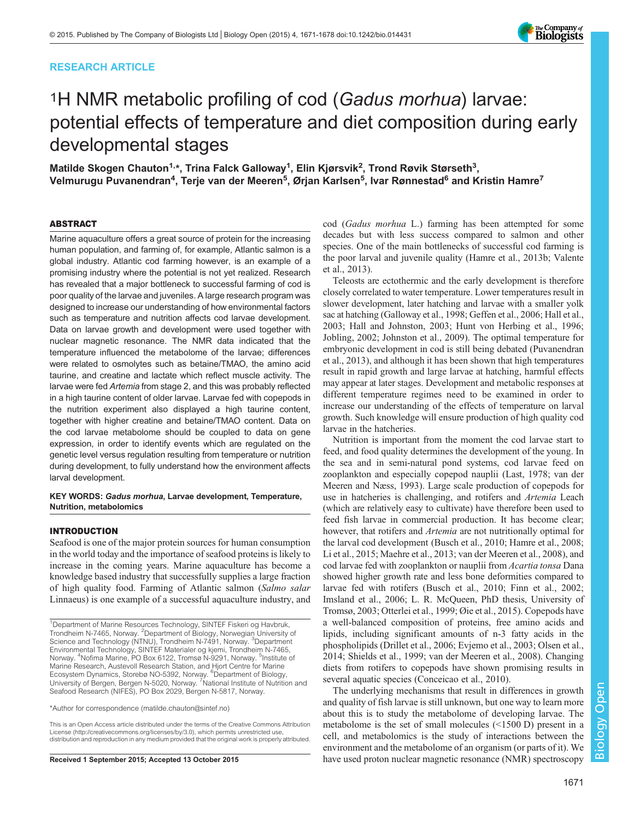# RESEARCH ARTICLE



# 1H NMR metabolic profiling of cod (Gadus morhua) larvae: potential effects of temperature and diet composition during early developmental stages

Matilde Skogen Chauton<sup>1,\*</sup>, Trina Falck Galloway<sup>1</sup>, Elin Kjørsvik<sup>2</sup>, Trond Røvik Størseth<sup>3</sup>, Velmurugu Puvanendran<sup>4</sup>, Terje van der Meeren<sup>5</sup>, Ørjan Karlsen<sup>5</sup>, Ivar Rønnestad<sup>6</sup> and Kristin Hamre<sup>7</sup>

## ABSTRACT

Marine aquaculture offers a great source of protein for the increasing human population, and farming of, for example, Atlantic salmon is a global industry. Atlantic cod farming however, is an example of a promising industry where the potential is not yet realized. Research has revealed that a major bottleneck to successful farming of cod is poor quality of the larvae and juveniles. A large research program was designed to increase our understanding of how environmental factors such as temperature and nutrition affects cod larvae development. Data on larvae growth and development were used together with nuclear magnetic resonance. The NMR data indicated that the temperature influenced the metabolome of the larvae; differences were related to osmolytes such as betaine/TMAO, the amino acid taurine, and creatine and lactate which reflect muscle activity. The larvae were fed Artemia from stage 2, and this was probably reflected in a high taurine content of older larvae. Larvae fed with copepods in the nutrition experiment also displayed a high taurine content, together with higher creatine and betaine/TMAO content. Data on the cod larvae metabolome should be coupled to data on gene expression, in order to identify events which are regulated on the genetic level versus regulation resulting from temperature or nutrition during development, to fully understand how the environment affects larval development.

KEY WORDS: Gadus morhua, Larvae development, Temperature, Nutrition, metabolomics

## INTRODUCTION

Seafood is one of the major protein sources for human consumption in the world today and the importance of seafood proteins is likely to increase in the coming years. Marine aquaculture has become a knowledge based industry that successfully supplies a large fraction of high quality food. Farming of Atlantic salmon (Salmo salar Linnaeus) is one example of a successful aquaculture industry, and

\*Author for correspondence [\(matilde.chauton@sintef.no\)](mailto:matilde.chauton@sintef.no)

This is an Open Access article distributed under the terms of the Creative Commons Attribution License [\(http://creativecommons.org/licenses/by/3.0\)](http://creativecommons.org/licenses/by/3.0), which permits unrestricted use, distribution and reproduction in any medium provided that the original work is properly attributed.

cod (Gadus morhua L.) farming has been attempted for some decades but with less success compared to salmon and other species. One of the main bottlenecks of successful cod farming is the poor larval and juvenile quality [\(Hamre et al., 2013b](#page-6-0); [Valente](#page-6-0) [et al., 2013\)](#page-6-0).

Teleosts are ectothermic and the early development is therefore closely correlated to water temperature. Lower temperatures result in slower development, later hatching and larvae with a smaller yolk sac at hatching ([Galloway et al., 1998](#page-6-0); [Geffen et al., 2006; Hall et al.,](#page-6-0) [2003; Hall and Johnston, 2003](#page-6-0); [Hunt von Herbing et al., 1996](#page-6-0); [Jobling, 2002](#page-6-0); [Johnston et al., 2009\)](#page-6-0). The optimal temperature for embryonic development in cod is still being debated ([Puvanendran](#page-6-0) [et al., 2013\)](#page-6-0), and although it has been shown that high temperatures result in rapid growth and large larvae at hatching, harmful effects may appear at later stages. Development and metabolic responses at different temperature regimes need to be examined in order to increase our understanding of the effects of temperature on larval growth. Such knowledge will ensure production of high quality cod larvae in the hatcheries.

Nutrition is important from the moment the cod larvae start to feed, and food quality determines the development of the young. In the sea and in semi-natural pond systems, cod larvae feed on zooplankton and especially copepod nauplii [\(Last, 1978](#page-6-0); [van der](#page-6-0) [Meeren and Næss, 1993\)](#page-6-0). Large scale production of copepods for use in hatcheries is challenging, and rotifers and Artemia Leach (which are relatively easy to cultivate) have therefore been used to feed fish larvae in commercial production. It has become clear; however, that rotifers and Artemia are not nutritionally optimal for the larval cod development ([Busch et al., 2010](#page-5-0); [Hamre et al., 2008](#page-6-0); [Li et al., 2015; Maehre et al., 2013](#page-6-0); [van der Meeren et al., 2008](#page-6-0)), and cod larvae fed with zooplankton or nauplii from Acartia tonsa Dana showed higher growth rate and less bone deformities compared to larvae fed with rotifers ([Busch et al., 2010](#page-5-0); [Finn et al., 2002](#page-6-0); [Imsland et al., 2006;](#page-6-0) L. R. McQueen, PhD thesis, University of Tromsø, 2003; [Otterlei et al., 1999](#page-6-0); [Øie et al., 2015\)](#page-6-0). Copepods have a well-balanced composition of proteins, free amino acids and lipids, including significant amounts of n-3 fatty acids in the phospholipids [\(Drillet et al., 2006; Evjemo et al., 2003](#page-6-0); [Olsen et al.,](#page-6-0) [2014; Shields et al., 1999](#page-6-0); [van der Meeren et al., 2008](#page-6-0)). Changing diets from rotifers to copepods have shown promising results in several aquatic species [\(Conceicao et al., 2010](#page-6-0)).

The underlying mechanisms that result in differences in growth and quality of fish larvae is still unknown, but one way to learn more about this is to study the metabolome of developing larvae. The metabolome is the set of small molecules (<1500 D) present in a cell, and metabolomics is the study of interactions between the environment and the metabolome of an organism (or parts of it). We Received 1 September 2015; Accepted 13 October 2015 have used proton nuclear magnetic resonance (NMR) spectroscopy

<sup>&</sup>lt;sup>1</sup>Department of Marine Resources Technology, SINTEF Fiskeri og Havbruk, Trondheim N-7465, Norway. <sup>2</sup>Department of Biology, Norwegian University of Science and Technology (NTNU), Trondheim N-7491, Norway. <sup>3</sup>Department Environmental Technology, SINTEF Materialer og kjemi, Trondheim N-7465, Norway. <sup>4</sup>Nofima Marine, PO Box 6122, Tromsø N-9291, Norway. <sup>5</sup>Institute of Marine Research, Austevoll Research Station, and Hjort Centre for Marine Ecosystem Dynamics, Storebø NO-5392, Norway. <sup>6</sup>Department of Biology, University of Bergen, Bergen N-5020, Norway. <sup>7</sup>National Institute of Nutrition and Seafood Research (NIFES), PO Box 2029, Bergen N-5817, Norway.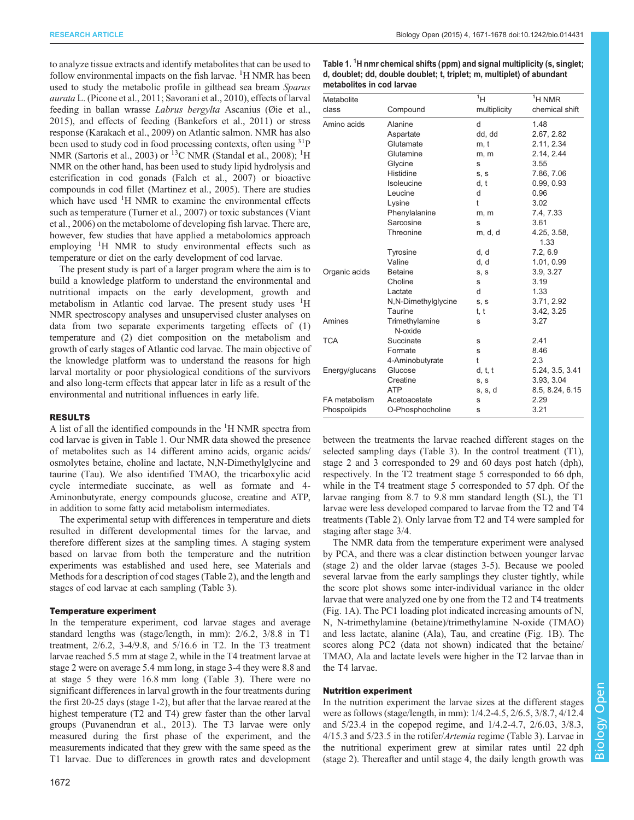<span id="page-1-0"></span>to analyze tissue extracts and identify metabolites that can be used to follow environmental impacts on the fish larvae. <sup>1</sup>H NMR has been used to study the metabolic profile in gilthead sea bream Sparus aurata L. ([Picone et al., 2011; Savorani et al., 2010](#page-6-0)), effects of larval feeding in ballan wrasse Labrus bergylta Ascanius [\(Øie et al.,](#page-6-0) [2015](#page-6-0)), and effects of feeding [\(Bankefors et al., 2011](#page-5-0)) or stress response [\(Karakach et al., 2009](#page-6-0)) on Atlantic salmon. NMR has also been used to study cod in food processing contexts, often using <sup>31</sup>P NMR [\(Sartoris et al., 2003](#page-6-0)) or <sup>13</sup>C NMR [\(Standal et al., 2008](#page-6-0)); <sup>1</sup>H NMR on the other hand, has been used to study lipid hydrolysis and esterification in cod gonads [\(Falch et al., 2007\)](#page-6-0) or bioactive compounds in cod fillet [\(Martinez et al., 2005](#page-6-0)). There are studies which have used <sup>1</sup>H NMR to examine the environmental effects such as temperature [\(Turner et al., 2007\)](#page-6-0) or toxic substances [\(Viant](#page-6-0) [et al., 2006\)](#page-6-0) on the metabolome of developing fish larvae. There are, however, few studies that have applied a metabolomics approach employing <sup>1</sup>H NMR to study environmental effects such as temperature or diet on the early development of cod larvae.

The present study is part of a larger program where the aim is to build a knowledge platform to understand the environmental and nutritional impacts on the early development, growth and metabolism in Atlantic cod larvae. The present study uses <sup>1</sup>H NMR spectroscopy analyses and unsupervised cluster analyses on data from two separate experiments targeting effects of (1) temperature and (2) diet composition on the metabolism and growth of early stages of Atlantic cod larvae. The main objective of the knowledge platform was to understand the reasons for high larval mortality or poor physiological conditions of the survivors and also long-term effects that appear later in life as a result of the environmental and nutritional influences in early life.

#### RESULTS

A list of all the identified compounds in the  ${}^{1}H$  NMR spectra from cod larvae is given in Table 1. Our NMR data showed the presence of metabolites such as 14 different amino acids, organic acids/ osmolytes betaine, choline and lactate, N,N-Dimethylglycine and taurine (Tau). We also identified TMAO, the tricarboxylic acid cycle intermediate succinate, as well as formate and 4- Aminonbutyrate, energy compounds glucose, creatine and ATP, in addition to some fatty acid metabolism intermediates.

The experimental setup with differences in temperature and diets resulted in different developmental times for the larvae, and therefore different sizes at the sampling times. A staging system based on larvae from both the temperature and the nutrition experiments was established and used here, see Materials and Methods for a description of cod stages [\(Table 2](#page-2-0)), and the length and stages of cod larvae at each sampling [\(Table 3\)](#page-2-0).

## Temperature experiment

In the temperature experiment, cod larvae stages and average standard lengths was (stage/length, in mm): 2/6.2, 3/8.8 in T1 treatment, 2/6.2, 3-4/9.8, and 5/16.6 in T2. In the T3 treatment larvae reached 5.5 mm at stage 2, while in the T4 treatment larvae at stage 2 were on average 5.4 mm long, in stage 3-4 they were 8.8 and at stage 5 they were 16.8 mm long [\(Table 3](#page-2-0)). There were no significant differences in larval growth in the four treatments during the first 20-25 days (stage 1-2), but after that the larvae reared at the highest temperature (T2 and T4) grew faster than the other larval groups [\(Puvanendran et al., 2013\)](#page-6-0). The T3 larvae were only measured during the first phase of the experiment, and the measurements indicated that they grew with the same speed as the T1 larvae. Due to differences in growth rates and development

1672

Table 1. <sup>1</sup>H nmr chemical shifts (ppm) and signal multiplicity (s, singlet; d, doublet; dd, double doublet; t, triplet; m, multiplet) of abundant metabolites in cod larvae

| Metabolite     |                           | 1H           | ${}^{1}$ H NMR      |  |
|----------------|---------------------------|--------------|---------------------|--|
| class          | Compound                  | multiplicity | chemical shift      |  |
| Amino acids    | Alanine                   | d            | 1.48                |  |
|                | Aspartate                 | dd, dd       | 2.67, 2.82          |  |
|                | Glutamate                 | m, t         | 2.11, 2.34          |  |
|                | Glutamine                 | m, m         | 2.14, 2.44          |  |
|                | Glycine                   | s            | 3.55                |  |
|                | Histidine                 | S, S         | 7.86, 7.06          |  |
|                | Isoleucine                | d, t         | 0.99, 0.93          |  |
|                | Leucine                   | d            | 0.96                |  |
|                | Lysine                    | t            | 3.02                |  |
|                | Phenylalanine             | m, m         | 7.4, 7.33           |  |
|                | Sarcosine                 | S            | 3.61                |  |
|                | Threonine                 | m, d, d      | 4.25, 3.58,<br>1.33 |  |
|                | Tyrosine                  | d, d         | 7.2, 6.9            |  |
|                | Valine                    | d, d         | 1.01, 0.99          |  |
| Organic acids  | <b>Betaine</b>            | s, s         | 3.9, 3.27           |  |
|                | Choline                   | s            | 3.19                |  |
|                | Lactate                   | d            | 1.33                |  |
|                | N,N-Dimethylglycine       | S, S         | 3.71, 2.92          |  |
|                | Taurine                   | t, t         | 3.42, 3.25          |  |
| Amines         | Trimethylamine<br>N-oxide | s            | 3.27                |  |
| <b>TCA</b>     | Succinate                 | S            | 2.41                |  |
|                | Formate                   | S            | 8.46                |  |
|                | 4-Aminobutyrate           | t            | 2.3                 |  |
| Energy/glucans | Glucose                   | d, t, t      | 5.24, 3.5, 3.41     |  |
|                | Creatine                  | S, S         | 3.93, 3.04          |  |
|                | <b>ATP</b>                | s, s, d      | 8.5, 8.24, 6.15     |  |
| FA metabolism  | Acetoacetate              | s            | 2.29                |  |
| Phospolipids   | O-Phosphocholine          | S            | 3.21                |  |

between the treatments the larvae reached different stages on the selected sampling days ([Table 3\)](#page-2-0). In the control treatment (T1), stage 2 and 3 corresponded to 29 and 60 days post hatch (dph), respectively. In the T2 treatment stage 5 corresponded to 66 dph, while in the T4 treatment stage 5 corresponded to 57 dph. Of the larvae ranging from 8.7 to 9.8 mm standard length (SL), the T1 larvae were less developed compared to larvae from the T2 and T4 treatments ([Table 2](#page-2-0)). Only larvae from T2 and T4 were sampled for staging after stage 3/4.

The NMR data from the temperature experiment were analysed by PCA, and there was a clear distinction between younger larvae (stage 2) and the older larvae (stages 3-5). Because we pooled several larvae from the early samplings they cluster tightly, while the score plot shows some inter-individual variance in the older larvae that were analyzed one by one from the T2 and T4 treatments [\(Fig. 1A](#page-3-0)). The PC1 loading plot indicated increasing amounts of N, N, N-trimethylamine (betaine)/trimethylamine N-oxide (TMAO) and less lactate, alanine (Ala), Tau, and creatine ([Fig. 1B](#page-3-0)). The scores along PC2 (data not shown) indicated that the betaine/ TMAO, Ala and lactate levels were higher in the T2 larvae than in the T4 larvae.

## Nutrition experiment

In the nutrition experiment the larvae sizes at the different stages were as follows (stage/length, in mm): 1/4.2-4.5, 2/6.5, 3/8.7, 4/12.4 and 5/23.4 in the copepod regime, and 1/4.2-4.7, 2/6.03, 3/8.3, 4/15.3 and 5/23.5 in the rotifer/Artemia regime ([Table 3\)](#page-2-0). Larvae in the nutritional experiment grew at similar rates until 22 dph (stage 2). Thereafter and until stage 4, the daily length growth was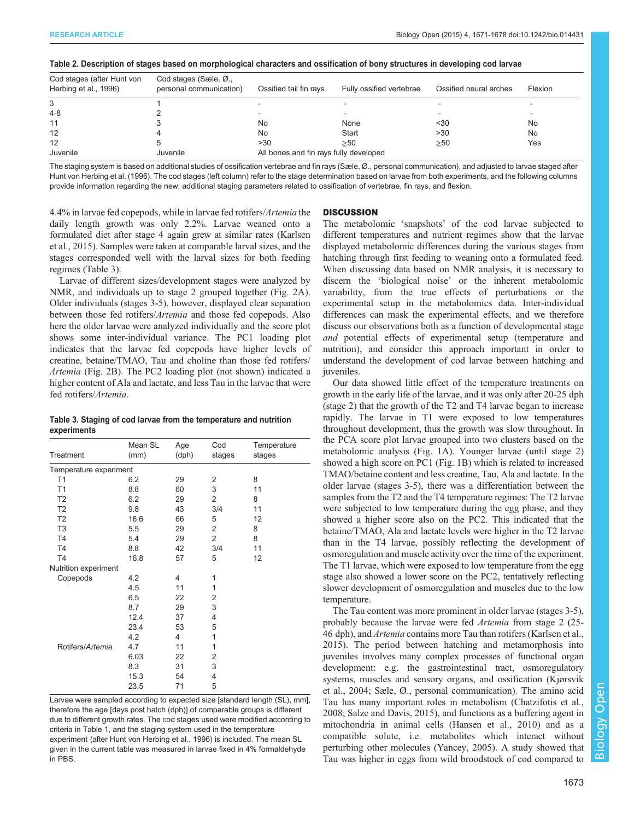| Cod stages (after Hunt von<br>Herbing et al., 1996) | Cod stages (Sæle, Ø.,<br>personal communication) | Ossified tail fin rays                 | Fully ossified vertebrae | Ossified neural arches | Flexion |
|-----------------------------------------------------|--------------------------------------------------|----------------------------------------|--------------------------|------------------------|---------|
| 3                                                   |                                                  | -                                      |                          |                        |         |
| $4 - 8$                                             |                                                  |                                        |                          |                        |         |
| 11                                                  |                                                  | No                                     | None                     | $30$                   | No      |
| 12                                                  |                                                  | No                                     | Start                    | >30                    | No      |
| 12                                                  |                                                  | >30                                    | >50                      | >50                    | Yes     |
| Juvenile                                            | Juvenile                                         | All bones and fin rays fully developed |                          |                        |         |

### <span id="page-2-0"></span>Table 2. Description of stages based on morphological characters and ossification of bony structures in developing cod larvae

The staging system is based on additional studies of ossification vertebrae and fin rays (Sæle, Ø., personal communication), and adjusted to larvae staged after [Hunt von Herbing et al. \(1996\).](#page-6-0) The cod stages (left column) refer to the stage determination based on larvae from both experiments, and the following columns provide information regarding the new, additional staging parameters related to ossification of vertebrae, fin rays, and flexion.

4.4% in larvae fed copepods, while in larvae fed rotifers/Artemia the daily length growth was only 2.2%. Larvae weaned onto a formulated diet after stage 4 again grew at similar rates ([Karlsen](#page-6-0) [et al., 2015](#page-6-0)). Samples were taken at comparable larval sizes, and the stages corresponded well with the larval sizes for both feeding regimes (Table 3).

Larvae of different sizes/development stages were analyzed by NMR, and individuals up to stage 2 grouped together [\(Fig. 2A](#page-4-0)). Older individuals (stages 3-5), however, displayed clear separation between those fed rotifers/Artemia and those fed copepods. Also here the older larvae were analyzed individually and the score plot shows some inter-individual variance. The PC1 loading plot indicates that the larvae fed copepods have higher levels of creatine, betaine/TMAO, Tau and choline than those fed rotifers/ Artemia ([Fig. 2](#page-4-0)B). The PC2 loading plot (not shown) indicated a higher content of Ala and lactate, and less Tau in the larvae that were fed rotifers/Artemia.

Table 3. Staging of cod larvae from the temperature and nutrition experiments

| Temperature<br>stages |
|-----------------------|
|                       |
|                       |
| 11                    |
|                       |
| 11                    |
| 12                    |
|                       |
|                       |
| 11                    |
| 12                    |
|                       |
|                       |
|                       |
|                       |
|                       |
|                       |
|                       |
|                       |
|                       |
|                       |
|                       |
|                       |
|                       |
|                       |

Larvae were sampled according to expected size [standard length (SL), mm], therefore the age [days post hatch (dph)] of comparable groups is different due to different growth rates. The cod stages used were modified according to criteria in [Table 1,](#page-1-0) and the staging system used in the temperature experiment (after [Hunt von Herbing et al., 1996\)](#page-6-0) is included. The mean SL given in the current table was measured in larvae fixed in 4% formaldehyde in PBS.

## **DISCUSSION**

The metabolomic 'snapshots' of the cod larvae subjected to different temperatures and nutrient regimes show that the larvae displayed metabolomic differences during the various stages from hatching through first feeding to weaning onto a formulated feed. When discussing data based on NMR analysis, it is necessary to discern the 'biological noise' or the inherent metabolomic variability, from the true effects of perturbations or the experimental setup in the metabolomics data. Inter-individual differences can mask the experimental effects, and we therefore discuss our observations both as a function of developmental stage and potential effects of experimental setup (temperature and nutrition), and consider this approach important in order to understand the development of cod larvae between hatching and juveniles.

Our data showed little effect of the temperature treatments on growth in the early life of the larvae, and it was only after 20-25 dph (stage 2) that the growth of the T2 and T4 larvae began to increase rapidly. The larvae in T1 were exposed to low temperatures throughout development, thus the growth was slow throughout. In the PCA score plot larvae grouped into two clusters based on the metabolomic analysis ([Fig. 1](#page-3-0)A). Younger larvae (until stage 2) showed a high score on PC1 ([Fig. 1B](#page-3-0)) which is related to increased TMAO/betaine content and less creatine, Tau, Ala and lactate. In the older larvae (stages 3-5), there was a differentiation between the samples from the T2 and the T4 temperature regimes: The T2 larvae were subjected to low temperature during the egg phase, and they showed a higher score also on the PC2. This indicated that the betaine/TMAO, Ala and lactate levels were higher in the T2 larvae than in the T4 larvae, possibly reflecting the development of osmoregulation and muscle activity over the time of the experiment. The T1 larvae, which were exposed to low temperature from the egg stage also showed a lower score on the PC2, tentatively reflecting slower development of osmoregulation and muscles due to the low temperature.

The Tau content was more prominent in older larvae (stages 3-5), probably because the larvae were fed Artemia from stage 2 (25- 46 dph), and *Artemia* contains more Tau than rotifers ([Karlsen et al.,](#page-6-0) [2015\)](#page-6-0). The period between hatching and metamorphosis into juveniles involves many complex processes of functional organ development: e.g. the gastrointestinal tract, osmoregulatory systems, muscles and sensory organs, and ossification ([Kjørsvik](#page-6-0) [et al., 2004;](#page-6-0) Sæle, Ø., personal communication). The amino acid Tau has many important roles in metabolism ([Chatzifotis et al.,](#page-5-0) [2008;](#page-5-0) [Salze and Davis, 2015\)](#page-6-0), and functions as a buffering agent in mitochondria in animal cells [\(Hansen et al., 2010\)](#page-6-0) and as a compatible solute, i.e. metabolites which interact without perturbing other molecules [\(Yancey, 2005](#page-7-0)). A study showed that Tau was higher in eggs from wild broodstock of cod compared to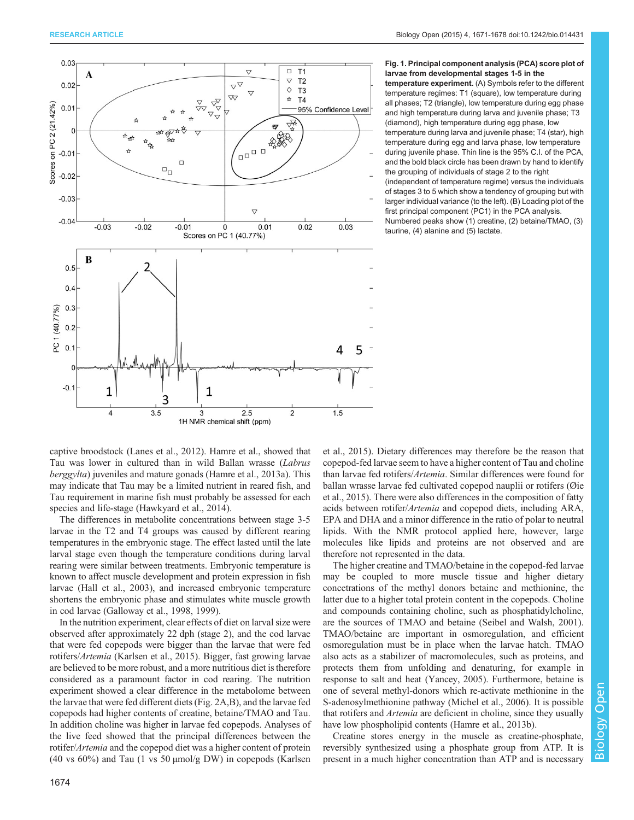<span id="page-3-0"></span>

## Fig. 1. Principal component analysis (PCA) score plot of larvae from developmental stages 1-5 in the

temperature experiment. (A) Symbols refer to the different temperature regimes: T1 (square), low temperature during all phases; T2 (triangle), low temperature during egg phase and high temperature during larva and juvenile phase; T3 (diamond), high temperature during egg phase, low temperature during larva and juvenile phase; T4 (star), high temperature during egg and larva phase, low temperature during juvenile phase. Thin line is the 95% C.I. of the PCA, and the bold black circle has been drawn by hand to identify the grouping of individuals of stage 2 to the right (independent of temperature regime) versus the individuals

of stages 3 to 5 which show a tendency of grouping but with larger individual variance (to the left). (B) Loading plot of the first principal component (PC1) in the PCA analysis. Numbered peaks show (1) creatine, (2) betaine/TMAO, (3) taurine, (4) alanine and (5) lactate.

captive broodstock [\(Lanes et al., 2012\)](#page-6-0). Hamre et al., showed that Tau was lower in cultured than in wild Ballan wrasse (Labrus berggylta) juveniles and mature gonads ([Hamre et al., 2013a\)](#page-6-0). This may indicate that Tau may be a limited nutrient in reared fish, and Tau requirement in marine fish must probably be assessed for each species and life-stage [\(Hawkyard et al., 2014\)](#page-6-0).

The differences in metabolite concentrations between stage 3-5 larvae in the T2 and T4 groups was caused by different rearing temperatures in the embryonic stage. The effect lasted until the late larval stage even though the temperature conditions during larval rearing were similar between treatments. Embryonic temperature is known to affect muscle development and protein expression in fish larvae [\(Hall et al., 2003](#page-6-0)), and increased embryonic temperature shortens the embryonic phase and stimulates white muscle growth in cod larvae ([Galloway et al., 1998, 1999](#page-6-0)).

In the nutrition experiment, clear effects of diet on larval size were observed after approximately 22 dph (stage 2), and the cod larvae that were fed copepods were bigger than the larvae that were fed rotifers/Artemia [\(Karlsen et al., 2015](#page-6-0)). Bigger, fast growing larvae are believed to be more robust, and a more nutritious diet is therefore considered as a paramount factor in cod rearing. The nutrition experiment showed a clear difference in the metabolome between the larvae that were fed different diets ([Fig. 2](#page-4-0)A,B), and the larvae fed copepods had higher contents of creatine, betaine/TMAO and Tau. In addition choline was higher in larvae fed copepods. Analyses of the live feed showed that the principal differences between the rotifer/Artemia and the copepod diet was a higher content of protein (40 vs 60%) and Tau (1 vs 50  $\mu$ mol/g DW) in copepods ([Karlsen](#page-6-0)

[et al., 2015\)](#page-6-0). Dietary differences may therefore be the reason that copepod-fed larvae seem to have a higher content of Tau and choline than larvae fed rotifers/Artemia. Similar differences were found for ballan wrasse larvae fed cultivated copepod nauplii or rotifers [\(Øie](#page-6-0) [et al., 2015](#page-6-0)). There were also differences in the composition of fatty acids between rotifer/Artemia and copepod diets, including ARA, EPA and DHA and a minor difference in the ratio of polar to neutral lipids. With the NMR protocol applied here, however, large molecules like lipids and proteins are not observed and are therefore not represented in the data.

The higher creatine and TMAO/betaine in the copepod-fed larvae may be coupled to more muscle tissue and higher dietary concetrations of the methyl donors betaine and methionine, the latter due to a higher total protein content in the copepods. Choline and compounds containing choline, such as phosphatidylcholine, are the sources of TMAO and betaine ([Seibel and Walsh, 2001\)](#page-6-0). TMAO/betaine are important in osmoregulation, and efficient osmoregulation must be in place when the larvae hatch. TMAO also acts as a stabilizer of macromolecules, such as proteins, and protects them from unfolding and denaturing, for example in response to salt and heat ([Yancey, 2005\)](#page-7-0). Furthermore, betaine is one of several methyl-donors which re-activate methionine in the S-adenosylmethionine pathway ([Michel et al., 2006\)](#page-6-0). It is possible that rotifers and Artemia are deficient in choline, since they usually have low phospholipid contents [\(Hamre et al., 2013b](#page-6-0)).

Creatine stores energy in the muscle as creatine-phosphate, reversibly synthesized using a phosphate group from ATP. It is present in a much higher concentration than ATP and is necessary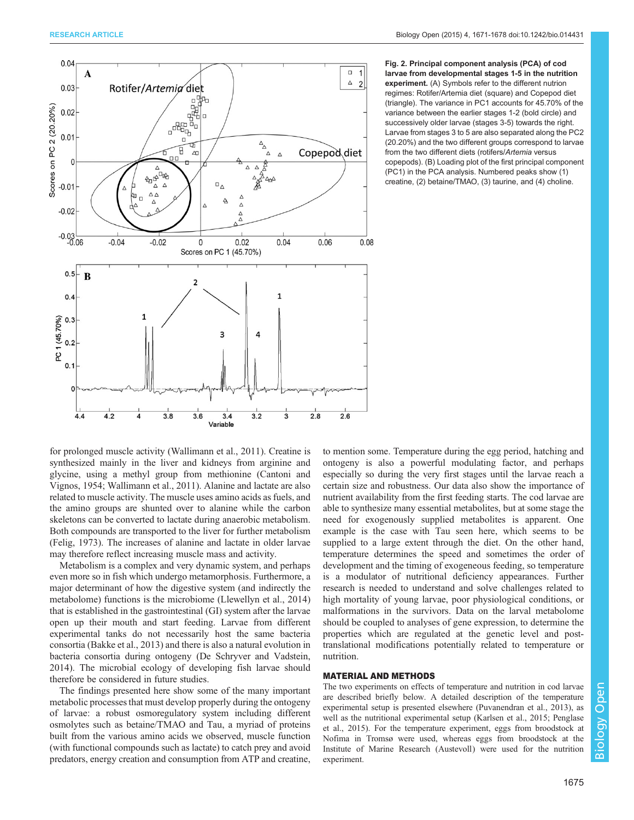<span id="page-4-0"></span>



for prolonged muscle activity [\(Wallimann et al., 2011\)](#page-7-0). Creatine is synthesized mainly in the liver and kidneys from arginine and glycine, using a methyl group from methionine [\(Cantoni and](#page-5-0) [Vignos, 1954;](#page-5-0) [Wallimann et al., 2011](#page-7-0)). Alanine and lactate are also related to muscle activity. The muscle uses amino acids as fuels, and the amino groups are shunted over to alanine while the carbon skeletons can be converted to lactate during anaerobic metabolism. Both compounds are transported to the liver for further metabolism [\(Felig, 1973\)](#page-6-0). The increases of alanine and lactate in older larvae may therefore reflect increasing muscle mass and activity.

Metabolism is a complex and very dynamic system, and perhaps even more so in fish which undergo metamorphosis. Furthermore, a major determinant of how the digestive system (and indirectly the metabolome) functions is the microbiome [\(Llewellyn et al., 2014\)](#page-6-0) that is established in the gastrointestinal (GI) system after the larvae open up their mouth and start feeding. Larvae from different experimental tanks do not necessarily host the same bacteria consortia ([Bakke et al., 2013\)](#page-5-0) and there is also a natural evolution in bacteria consortia during ontogeny ([De Schryver and Vadstein,](#page-6-0) [2014](#page-6-0)). The microbial ecology of developing fish larvae should therefore be considered in future studies.

The findings presented here show some of the many important metabolic processes that must develop properly during the ontogeny of larvae: a robust osmoregulatory system including different osmolytes such as betaine/TMAO and Tau, a myriad of proteins built from the various amino acids we observed, muscle function (with functional compounds such as lactate) to catch prey and avoid predators, energy creation and consumption from ATP and creatine,

to mention some. Temperature during the egg period, hatching and ontogeny is also a powerful modulating factor, and perhaps especially so during the very first stages until the larvae reach a certain size and robustness. Our data also show the importance of nutrient availability from the first feeding starts. The cod larvae are able to synthesize many essential metabolites, but at some stage the need for exogenously supplied metabolites is apparent. One example is the case with Tau seen here, which seems to be supplied to a large extent through the diet. On the other hand, temperature determines the speed and sometimes the order of development and the timing of exogeneous feeding, so temperature is a modulator of nutritional deficiency appearances. Further research is needed to understand and solve challenges related to high mortality of young larvae, poor physiological conditions, or malformations in the survivors. Data on the larval metabolome should be coupled to analyses of gene expression, to determine the properties which are regulated at the genetic level and posttranslational modifications potentially related to temperature or nutrition.

# MATERIAL AND METHODS

The two experiments on effects of temperature and nutrition in cod larvae are described briefly below. A detailed description of the temperature experimental setup is presented elsewhere ([Puvanendran et al., 2013](#page-6-0)), as well as the nutritional experimental setup ([Karlsen et al., 2015; Penglase](#page-6-0) [et al., 2015\)](#page-6-0). For the temperature experiment, eggs from broodstock at Nofima in Tromsø were used, whereas eggs from broodstock at the Institute of Marine Research (Austevoll) were used for the nutrition experiment.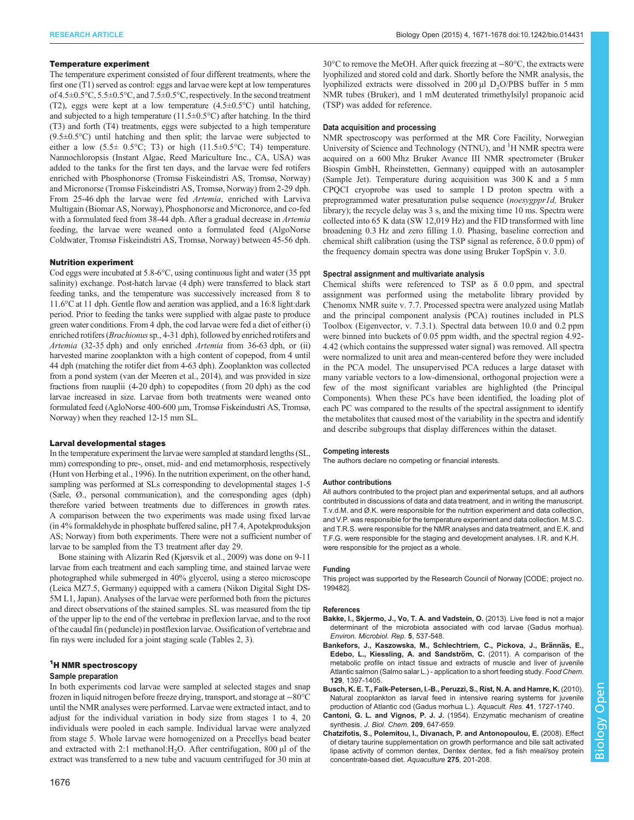#### <span id="page-5-0"></span>Temperature experiment

The temperature experiment consisted of four different treatments, where the first one (T1) served as control: eggs and larvae were kept at low temperatures of 4.5±0.5°C, 5.5±0.5°C, and 7.5±0.5°C, respectively. In the second treatment (T2), eggs were kept at a low temperature  $(4.5\pm0.5^{\circ}C)$  until hatching, and subjected to a high temperature  $(11.5\pm0.5\degree C)$  after hatching. In the third (T3) and forth (T4) treatments, eggs were subjected to a high temperature (9.5±0.5°C) until hatching and then split; the larvae were subjected to either a low  $(5.5 \pm 0.5^{\circ}\text{C}; 73)$  or high  $(11.5 \pm 0.5^{\circ}\text{C}; 74)$  temperature. Nannochloropsis (Instant Algae, Reed Mariculture Inc., CA, USA) was added to the tanks for the first ten days, and the larvae were fed rotifers enriched with Phosphonorse (Tromsø Fiskeindistri AS, Tromsø, Norway) and Micronorse (Tromsø Fiskeindistri AS, Tromsø, Norway) from 2-29 dph. From 25-46 dph the larvae were fed Artemia, enriched with Larviva Multigain (Biomar AS, Norway), Phosphonorse and Micronorce, and co-fed with a formulated feed from 38-44 dph. After a gradual decrease in Artemia feeding, the larvae were weaned onto a formulated feed (AlgoNorse Coldwater, Tromsø Fiskeindistri AS, Tromsø, Norway) between 45-56 dph.

#### Nutrition experiment

Cod eggs were incubated at 5.8-6°C, using continuous light and water (35 ppt salinity) exchange. Post-hatch larvae (4 dph) were transferred to black start feeding tanks, and the temperature was successively increased from 8 to 11.6°C at 11 dph. Gentle flow and aeration was applied, and a 16:8 light:dark period. Prior to feeding the tanks were supplied with algae paste to produce green water conditions. From 4 dph, the cod larvae were fed a diet of either (i) enriched rotifers (Brachionus sp., 4-31 dph), followed by enriched rotifers and Artemia (32-35 dph) and only enriched Artemia from 36-63 dph, or (ii) harvested marine zooplankton with a high content of copepod, from 4 until 44 dph (matching the rotifer diet from 4-63 dph). Zooplankton was collected from a pond system ([van der Meeren et al., 2014\)](#page-6-0), and was provided in size fractions from nauplii (4-20 dph) to copepodites (from 20 dph) as the cod larvae increased in size. Larvae from both treatments were weaned onto formulated feed (AgloNorse 400-600 μm, Tromsø Fiskeindustri AS, Tromsø, Norway) when they reached 12-15 mm SL.

### Larval developmental stages

In the temperature experiment the larvae were sampled at standard lengths (SL, mm) corresponding to pre-, onset, mid- and end metamorphosis, respectively ([Hunt von Herbing et al., 1996](#page-6-0)). In the nutrition experiment, on the other hand, sampling was performed at SLs corresponding to developmental stages 1-5 (Sæle, Ø., personal communication), and the corresponding ages (dph) therefore varied between treatments due to differences in growth rates. A comparison between the two experiments was made using fixed larvae (in 4% formaldehyde in phosphate buffered saline, pH 7.4, Apotekproduksjon AS; Norway) from both experiments. There were not a sufficient number of larvae to be sampled from the T3 treatment after day 29.

Bone staining with Alizarin Red [\(Kjørsvik et al., 2009](#page-6-0)) was done on 9-11 larvae from each treatment and each sampling time, and stained larvae were photographed while submerged in 40% glycerol, using a stereo microscope (Leica MZ7.5, Germany) equipped with a camera (Nikon Digital Sight DS-5M L1, Japan). Analyses of the larvae were performed both from the pictures and direct observations of the stained samples. SL was measured from the tip of the upper lip to the end of the vertebrae in preflexion larvae, and to the root of the caudal fin (peduncle) in postflexion larvae. Ossification of vertebrae and fin rays were included for a joint staging scale [\(Tables 2](#page-2-0), [3](#page-2-0)).

# <sup>1</sup>H NMR spectroscopy

#### Sample preparation

In both experiments cod larvae were sampled at selected stages and snap frozen in liquid nitrogen before freeze drying, transport, and storage at −80°C until the NMR analyses were performed. Larvae were extracted intact, and to adjust for the individual variation in body size from stages 1 to 4, 20 individuals were pooled in each sample. Individual larvae were analyzed from stage 5. Whole larvae were homogenized on a Precellys bead beater and extracted with 2:1 methanol: $H_2O$ . After centrifugation, 800 µl of the extract was transferred to a new tube and vacuum centrifuged for 30 min at

30°C to remove the MeOH. After quick freezing at −80°C, the extracts were lyophilized and stored cold and dark. Shortly before the NMR analysis, the lyophilized extracts were dissolved in  $200 \mu$ l D<sub>2</sub>O/PBS buffer in 5 mm NMR tubes (Bruker), and 1 mM deuterated trimethylsilyl propanoic acid (TSP) was added for reference.

#### Data acquisition and processing

NMR spectroscopy was performed at the MR Core Facility, Norwegian University of Science and Technology (NTNU), and <sup>1</sup>H NMR spectra were acquired on a 600 Mhz Bruker Avance III NMR spectrometer (Bruker Biospin GmbH, Rheinstetten, Germany) equipped with an autosampler (Sample Jet). Temperature during acquisition was 300 K and a 5 mm CPQCI cryoprobe was used to sample 1 D proton spectra with a preprogrammed water presaturation pulse sequence (noesygppr1d, Bruker library); the recycle delay was 3 s, and the mixing time 10 ms. Spectra were collected into 65 K data (SW 12,019 Hz) and the FID transformed with line broadening 0.3 Hz and zero filling 1.0. Phasing, baseline correction and chemical shift calibration (using the TSP signal as reference, δ 0.0 ppm) of the frequency domain spectra was done using Bruker TopSpin v. 3.0.

#### Spectral assignment and multivariate analysis

Chemical shifts were referenced to TSP as δ 0.0 ppm, and spectral assignment was performed using the metabolite library provided by Chenomx NMR suite v. 7.7. Processed spectra were analyzed using Matlab and the principal component analysis (PCA) routines included in PLS Toolbox (Eigenvector, v. 7.3.1). Spectral data between 10.0 and 0.2 ppm were binned into buckets of 0.05 ppm width, and the spectral region 4.92- 4.42 (which contains the suppressed water signal) was removed. All spectra were normalized to unit area and mean-centered before they were included in the PCA model. The unsupervised PCA reduces a large dataset with many variable vectors to a low-dimensional, orthogonal projection were a few of the most significant variables are highlighted (the Principal Components). When these PCs have been identified, the loading plot of each PC was compared to the results of the spectral assignment to identify the metabolites that caused most of the variability in the spectra and identify and describe subgroups that display differences within the dataset.

#### Competing interests

The authors declare no competing or financial interests.

#### Author contributions

All authors contributed to the project plan and experimental setups, and all authors contributed in discussions of data and data treatment, and in writing the manuscript. T.v.d.M. and Ø.K. were responsible for the nutrition experiment and data collection, and V.P. was responsible for the temperature experiment and data collection. M.S.C. and T.R.S. were responsible for the NMR analyses and data treatment, and E.K. and T.F.G. were responsible for the staging and development analyses. I.R. and K.H. were responsible for the project as a whole.

#### Funding

This project was supported by the Research Council of Norway [CODE; project no. 199482].

#### References

- [Bakke, I., Skjermo, J., Vo, T. A. and Vadstein, O.](http://dx.doi.org/10.1111/1758-2229.12042) (2013). Live feed is not a major [determinant of the microbiota associated with cod larvae \(Gadus morhua\).](http://dx.doi.org/10.1111/1758-2229.12042) [Environ. Microbiol. Rep.](http://dx.doi.org/10.1111/1758-2229.12042) 5, 537-548.
- Bankefors, J., Kaszowska, M., Schlechtriem, C., Pickova, J., Brännäs, E., Edebo, L., Kiessling, A. and Sandström, C. (2011). A comparison of the [metabolic profile on intact tissue and extracts of muscle and liver of juvenile](http://dx.doi.org/10.1016/j.foodchem.2011.05.081) [Atlantic salmon \(Salmo salar L.\) - application to a short feeding study.](http://dx.doi.org/10.1016/j.foodchem.2011.05.081) Food Chem. 129[, 1397-1405.](http://dx.doi.org/10.1016/j.foodchem.2011.05.081)
- [Busch, K. E. T., Falk-Petersen, I.-B., Peruzzi, S., Rist, N. A. and Hamre, K.](http://dx.doi.org/10.1111/j.1365-2109.2009.02450.x) (2010). [Natural zooplankton as larval feed in intensive rearing systems for juvenile](http://dx.doi.org/10.1111/j.1365-2109.2009.02450.x) [production of Atlantic cod \(Gadus morhua L.\).](http://dx.doi.org/10.1111/j.1365-2109.2009.02450.x) Aquacult. Res. 41, 1727-1740.
- Cantoni, G. L. and Vignos, P. J. J. (1954). Enzymatic mechanism of creatine synthesis. J. Biol. Chem. 209, 647-659.
- [Chatzifotis, S., Polemitou, I., Divanach, P. and Antonopoulou, E.](http://dx.doi.org/10.1016/j.aquaculture.2007.12.013) (2008). Effect [of dietary taurine supplementation on growth performance and bile salt activated](http://dx.doi.org/10.1016/j.aquaculture.2007.12.013) [lipase activity of common dentex, Dentex dentex, fed a fish meal/soy protein](http://dx.doi.org/10.1016/j.aquaculture.2007.12.013) [concentrate-based diet.](http://dx.doi.org/10.1016/j.aquaculture.2007.12.013) Aquaculture 275, 201-208.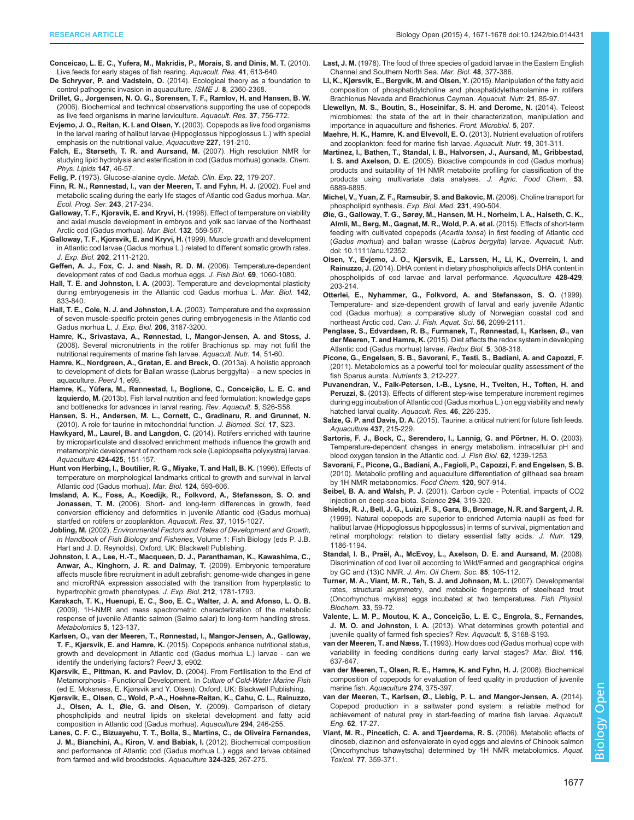- <span id="page-6-0"></span>[Conceicao, L. E. C., Yufera, M., Makridis, P., Morais, S. and Dinis, M. T.](http://dx.doi.org/10.1111/j.1365-2109.2009.02242.x) (2010). [Live feeds for early stages of fish rearing.](http://dx.doi.org/10.1111/j.1365-2109.2009.02242.x) Aquacult. Res. 41, 613-640.
- De Schryver, P. and Vadstein, O. [\(2014\). Ecological theory as a foundation to](http://dx.doi.org/10.1038/ismej.2014.84) [control pathogenic invasion in aquaculture.](http://dx.doi.org/10.1038/ismej.2014.84) ISME J. 8, 2360-2368.
- [Drillet, G., Jorgensen, N. O. G., Sorensen, T. F., Ramlov, H. and Hansen, B. W.](http://dx.doi.org/10.1111/j.1365-2109.2006.01489.x) [\(2006\). Biochemical and technical observations supporting the use of copepods](http://dx.doi.org/10.1111/j.1365-2109.2006.01489.x) [as live feed organisms in marine larviculture.](http://dx.doi.org/10.1111/j.1365-2109.2006.01489.x) Aquacult. Res. 37, 756-772.
- [Evjemo, J. O., Reitan, K. I. and Olsen, Y.](http://dx.doi.org/10.1016/S0044-8486(03)00503-9) (2003). Copepods as live food organisms [in the larval rearing of halibut larvae \(Hippoglossus hippoglossus L.\) with special](http://dx.doi.org/10.1016/S0044-8486(03)00503-9) [emphasis on the nutritional value.](http://dx.doi.org/10.1016/S0044-8486(03)00503-9) Aquaculture 227, 191-210.
- [Falch, E., Størseth, T. R. and Aursand, M.](http://dx.doi.org/10.1016/j.chemphyslip.2007.03.006) (2007). High resolution NMR for [studying lipid hydrolysis and esterification in cod \(Gadus morhua\) gonads.](http://dx.doi.org/10.1016/j.chemphyslip.2007.03.006) Chem. [Phys. Lipids](http://dx.doi.org/10.1016/j.chemphyslip.2007.03.006) 147, 46-57.
- Felig, P. [\(1973\). Glucose-alanine cycle.](http://dx.doi.org/10.1016/0026-0495(73)90269-2) Metab. Clin. Exp. 22, 179-207.
- [Finn, R. N., Rønnestad, I., van der Meeren, T. and Fyhn, H. J.](http://dx.doi.org/10.3354/meps243217) (2002). Fuel and [metabolic scaling during the early life stages of Atlantic cod Gadus morhua.](http://dx.doi.org/10.3354/meps243217) Mar. [Ecol. Prog. Ser.](http://dx.doi.org/10.3354/meps243217) 243, 217-234.
- [Galloway, T. F., Kjorsvik, E. and Kryvi, H.](http://dx.doi.org/10.1007/s002270050421) (1998). Effect of temperature on viability [and axial muscle development in embryos and yolk sac larvae of the Northeast](http://dx.doi.org/10.1007/s002270050421) [Arctic cod \(Gadus morhua\).](http://dx.doi.org/10.1007/s002270050421) Mar. Biol. 132. 559-567.
- Galloway, T. F., Kjorsvik, E. and Kryvi, H. (1999). Muscle growth and development in Atlantic cod larvae (Gadus morhua L.) related to different somatic growth rates. J. Exp. Biol. 202, 2111-2120.
- [Geffen, A. J., Fox, C. J. and Nash, R. D. M.](http://dx.doi.org/10.1111/j.1095-8649.2006.01181.x) (2006). Temperature-dependent [development rates of cod Gadus morhua eggs.](http://dx.doi.org/10.1111/j.1095-8649.2006.01181.x) J. Fish Biol. 69, 1060-1080.
- Hall, T. E. and Johnston, I. A. (2003). Temperature and developmental plasticity during embryogenesis in the Atlantic cod Gadus morhua L. Mar. Biol. 142, 833-840.
- [Hall, T. E., Cole, N. J. and Johnston, I. A.](http://dx.doi.org/10.1242/jeb.00535) (2003). Temperature and the expression [of seven muscle-specific protein genes during embryogenesis in the Atlantic cod](http://dx.doi.org/10.1242/jeb.00535) [Gadus morhua L.](http://dx.doi.org/10.1242/jeb.00535) J. Exp. Biol. 206, 3187-3200.

[Hamre, K., Srivastava, A., Rønnestad, I., Mangor-Jensen, A. and Stoss, J.](http://dx.doi.org/10.1111/j.1365-2095.2007.00504.x) [\(2008\). Several micronutrients in the rotifer Brachionus sp. may not fulfil the](http://dx.doi.org/10.1111/j.1365-2095.2007.00504.x) [nutritional requirements of marine fish larvae.](http://dx.doi.org/10.1111/j.1365-2095.2007.00504.x) Aquacult. Nutr. 14, 51-60.

- [Hamre, K., Nordgreen, A., Grøtan, E. and Breck, O.](http://dx.doi.org/10.7717/peerj.99) (2013a). A holistic approach [to development of diets for Ballan wrasse \(Labrus berggylta\)](http://dx.doi.org/10.7717/peerj.99) – a new species in [aquaculture.](http://dx.doi.org/10.7717/peerj.99) PeerJ 1, e99.
- Hamre, K., Yúfera, M., Rønnestad, I., Boglione, C., Conceição, L. E. C. and Izquierdo, M. [\(2013b\). Fish larval nutrition and feed formulation: knowledge gaps](http://dx.doi.org/10.1111/j.1753-5131.2012.01086.x) [and bottlenecks for advances in larval rearing.](http://dx.doi.org/10.1111/j.1753-5131.2012.01086.x) Rev. Aquacult. 5, S26-S58.
- [Hansen, S. H., Andersen, M. L., Cornett, C., Gradinaru, R. and Grunnet, N.](http://dx.doi.org/10.1186/1423-0127-17-S1-S23) [\(2010\). A role for taurine in mitochondrial function.](http://dx.doi.org/10.1186/1423-0127-17-S1-S23) J. Biomed. Sci. 17, S23.
- [Hawkyard, M., Laurel, B. and Langdon, C.](http://dx.doi.org/10.1016/j.aquaculture.2013.12.035) (2014). Rotifers enriched with taurine [by microparticulate and dissolved enrichment methods influence the growth and](http://dx.doi.org/10.1016/j.aquaculture.2013.12.035) [metamorphic development of northern rock sole \(Lepidopsetta polyxystra\) larvae.](http://dx.doi.org/10.1016/j.aquaculture.2013.12.035) [Aquaculture](http://dx.doi.org/10.1016/j.aquaculture.2013.12.035) 424-425, 151-157.
- [Hunt von Herbing, I., Boutilier, R. G., Miyake, T. and Hall, B. K.](http://dx.doi.org/10.1007/BF00351041) (1996). Effects of [temperature on morphological landmarks critical to growth and survival in larval](http://dx.doi.org/10.1007/BF00351041) [Atlantic cod \(Gadus morhua\).](http://dx.doi.org/10.1007/BF00351041) Mar. Biol. 124, 593-606.
- [Imsland, A. K., Foss, A., Koedijk, R., Folkvord, A., Stefansson, S. O. and](http://dx.doi.org/10.1111/j.1365-2109.2006.01523.x) Jonassen, T. M. [\(2006\). Short- and long-term differences in growth, feed](http://dx.doi.org/10.1111/j.1365-2109.2006.01523.x) [conversion efficiency and deformities in juvenile Atlantic cod \(Gadus morhua\)](http://dx.doi.org/10.1111/j.1365-2109.2006.01523.x) [startfed on rotifers or zooplankton.](http://dx.doi.org/10.1111/j.1365-2109.2006.01523.x) Aquacult. Res. 37, 1015-1027.
- Jobling, M. (2002). [Environmental Factors and Rates of Development and Growth,](http://dx.doi.org/10.1002/9780470693803.ch5) [in Handbook of Fish Biology and Fisheries](http://dx.doi.org/10.1002/9780470693803.ch5), Volume 1: Fish Biology (eds P. J.B. [Hart and J. D. Reynolds\). Oxford, UK: Blackwell Publishing.](http://dx.doi.org/10.1002/9780470693803.ch5)
- [Johnston, I. A., Lee, H.-T., Macqueen, D. J., Paranthaman, K., Kawashima, C.,](http://dx.doi.org/10.1242/jeb.029918) [Anwar, A., Kinghorn, J. R. and Dalmay, T.](http://dx.doi.org/10.1242/jeb.029918) (2009). Embryonic temperature [affects muscle fibre recruitment in adult zebrafish: genome-wide changes in gene](http://dx.doi.org/10.1242/jeb.029918) [and microRNA expression associated with the transition from hyperplastic to](http://dx.doi.org/10.1242/jeb.029918) [hypertrophic growth phenotypes.](http://dx.doi.org/10.1242/jeb.029918) J. Exp. Biol. 212, 1781-1793
- [Karakach, T. K., Huenupi, E. C., Soo, E. C., Walter, J. A. and Afonso, L. O. B.](http://dx.doi.org/10.1007/s11306-008-0144-0) [\(2009\). 1H-NMR and mass spectrometric characterization of the metabolic](http://dx.doi.org/10.1007/s11306-008-0144-0) [response of juvenile Atlantic salmon \(Salmo salar\) to long-term handling stress.](http://dx.doi.org/10.1007/s11306-008-0144-0) [Metabolomics](http://dx.doi.org/10.1007/s11306-008-0144-0) 5, 123-137.
- [Karlsen, O., van der Meeren, T., Rønnestad, I., Mangor-Jensen, A., Galloway,](http://dx.doi.org/10.7717/peerj.902) T. F., Kjørsvik, E. and Hamre, K. [\(2015\). Copepods enhance nutritional status,](http://dx.doi.org/10.7717/peerj.902) [growth and development in Atlantic cod \(Gadus morhua L.\) larvae - can we](http://dx.doi.org/10.7717/peerj.902) [identify the underlying factors?](http://dx.doi.org/10.7717/peerj.902) PeerJ 3, e902.
- [Kjørsvik, E., Pittman, K. and Pavlov, D.](http://dx.doi.org/10.1002/9780470995617.ch6) (2004). From Fertilisation to the End of [Metamorphosis - Functional Development. In](http://dx.doi.org/10.1002/9780470995617.ch6) Culture of Cold-Water Marine Fish [\(ed E. Moksness, E. Kjørsvik and Y. Olsen\). Oxford, UK: Blackwell Publishing.](http://dx.doi.org/10.1002/9780470995617.ch6)
- [Kjørsvik, E., Olsen, C., Wold, P.-A., Hoehne-Reitan, K., Cahu, C. L., Rainuzzo,](http://dx.doi.org/10.1016/j.aquaculture.2009.06.012) [J., Olsen, A. I., Øie, G. and Olsen, Y.](http://dx.doi.org/10.1016/j.aquaculture.2009.06.012) (2009). Comparison of dietary [phospholipids and neutral lipids on skeletal development and fatty acid](http://dx.doi.org/10.1016/j.aquaculture.2009.06.012) [composition in Atlantic cod \(Gadus morhua\).](http://dx.doi.org/10.1016/j.aquaculture.2009.06.012) Aquaculture 294, 246-255.
- [Lanes, C. F. C., Bizuayehu, T. T., Bolla, S., Martins, C., de Oliveira Fernandes,](http://dx.doi.org/10.1016/j.aquaculture.2011.10.036) [J. M., Bianchini, A., Kiron, V. and Babiak, I.](http://dx.doi.org/10.1016/j.aquaculture.2011.10.036) (2012). Biochemical composition [and performance of Atlantic cod \(Gadus morhua L.\) eggs and larvae obtained](http://dx.doi.org/10.1016/j.aquaculture.2011.10.036) [from farmed and wild broodstocks.](http://dx.doi.org/10.1016/j.aquaculture.2011.10.036) Aquaculture 324-325, 267-275.
- Last, J. M. [\(1978\). The food of three species of gadoid larvae in the Eastern English](http://dx.doi.org/10.1007/BF00391643) [Channel and Southern North Sea.](http://dx.doi.org/10.1007/BF00391643) Mar. Biol. 48, 377-386.
- [Li, K., Kjørsvik, E., Bergvik, M. and Olsen, Y.](http://dx.doi.org/10.1111/anu.12140) (2015). Manipulation of the fatty acid [composition of phosphatidylcholine and phosphatidylethanolamine in rotifers](http://dx.doi.org/10.1111/anu.12140) [Brachionus Nevada and Brachionus Cayman.](http://dx.doi.org/10.1111/anu.12140) Aquacult. Nutr. 21, 85-97.
- [Llewellyn, M. S., Boutin, S., Hoseinifar, S. H. and Derome, N.](http://dx.doi.org/10.3389/fmicb.2014.00207) (2014). Teleost [microbiomes: the state of the art in their characterization, manipulation and](http://dx.doi.org/10.3389/fmicb.2014.00207) [importance in aquaculture and fisheries.](http://dx.doi.org/10.3389/fmicb.2014.00207) Front. Microbiol. 5, 207.
- [Maehre, H. K., Hamre, K. and Elvevoll, E. O.](http://dx.doi.org/10.1111/j.1365-2095.2012.00960.x) (2013). Nutrient evaluation of rotifers [and zooplankton: feed for marine fish larvae.](http://dx.doi.org/10.1111/j.1365-2095.2012.00960.x) Aquacult. Nutr. 19, 301-311.
- [Martinez, I., Bathen, T., Standal, I. B., Halvorsen, J., Aursand, M., Gribbestad,](http://dx.doi.org/10.1021/jf0507902) I. S. and Axelson, D. E. [\(2005\). Bioactive compounds in cod \(Gadus morhua\)](http://dx.doi.org/10.1021/jf0507902) [products and suitability of 1H NMR metabolite profiling for classification of the](http://dx.doi.org/10.1021/jf0507902) [products using multivariate data analyses.](http://dx.doi.org/10.1021/jf0507902) J. Agric. Food Chem. 53, [6889-6895.](http://dx.doi.org/10.1021/jf0507902)
- Michel, V., Yuan, Z. F., Ramsubir, S. and Bakovic, M. (2006). Choline transport for phospholipid synthesis. Exp. Biol. Med. 231, 490-504.
- [Øie, G., Galloway, T. G., Sørøy, M., Hansen, M. H., Norheim, I. A., Halseth, C. K.,](http://dx.doi.org/10.1111/anu.12352) [Almli, M., Berg, M., Gagnat, M. R., Wold, P. A. et al.](http://dx.doi.org/10.1111/anu.12352) (2015). Effects of short-term [feeding with cultivated copepods \(](http://dx.doi.org/10.1111/anu.12352)Acartia tonsa) in first feeding of Atlantic cod (Gadus morhua[\) and ballan wrasse \(](http://dx.doi.org/10.1111/anu.12352)Labrus bergylta) larvae. Aquacult. Nutr. [doi: 10.1111/anu.12352](http://dx.doi.org/10.1111/anu.12352).
- [Olsen, Y., Evjemo, J. O., Kjørsvik, E., Larssen, H., Li, K., Overrein, I. and](http://dx.doi.org/10.1016/j.aquaculture.2014.03.002) Rainuzzo, J. [\(2014\). DHA content in dietary phospholipids affects DHA content in](http://dx.doi.org/10.1016/j.aquaculture.2014.03.002) [phospholipids of cod larvae and larval performance.](http://dx.doi.org/10.1016/j.aquaculture.2014.03.002) Aquaculture 428-429, [203-214.](http://dx.doi.org/10.1016/j.aquaculture.2014.03.002)
- [Otterlei, E., Nyhammer, G., Folkvord, A. and Stefansson, S. O.](http://dx.doi.org/10.1139/f99-168) (1999). [Temperature- and size-dependent growth of larval and early juvenile Atlantic](http://dx.doi.org/10.1139/f99-168) [cod \(Gadus morhua\): a comparative study of Norwegian coastal cod and](http://dx.doi.org/10.1139/f99-168) northeast Arctic cod. [Can. J. Fish. Aquat. Sci.](http://dx.doi.org/10.1139/f99-168) 56, 2099-2111.
- [Penglase, S., Edvardsen, R. B., Furmanek, T., Rønnestad, I., Karlsen, Ø., van](http://dx.doi.org/10.1016/j.redox.2015.06.003) der Meeren, T. and Hamre, K. [\(2015\). Diet affects the redox system in developing](http://dx.doi.org/10.1016/j.redox.2015.06.003) [Atlantic cod \(Gadus morhua\) larvae.](http://dx.doi.org/10.1016/j.redox.2015.06.003) Redox Biol. 5, 308-318.
- [Picone, G., Engelsen, S. B., Savorani, F., Testi, S., Badiani, A. and Capozzi, F.](http://dx.doi.org/10.3390/nu3020212) [\(2011\). Metabolomics as a powerful tool for molecular quality assessment of the](http://dx.doi.org/10.3390/nu3020212) [fish Sparus aurata.](http://dx.doi.org/10.3390/nu3020212) Nutrients 3, 212-227.
- [Puvanendran, V., Falk-Petersen, I.-B., Lysne, H., Tveiten, H., Toften, H. and](http://dx.doi.org/10.1111/are.12173) Peruzzi, S. [\(2013\). Effects of different step-wise temperature increment regimes](http://dx.doi.org/10.1111/are.12173) [during egg incubation of Atlantic cod \(Gadus morhua L.\) on egg viability and newly](http://dx.doi.org/10.1111/are.12173) [hatched larval quality.](http://dx.doi.org/10.1111/are.12173) Aquacult. Res. 46, 226-235.
- Salze, G. P. and Davis, D. A. [\(2015\). Taurine: a critical nutrient for future fish feeds.](http://dx.doi.org/10.1016/j.aquaculture.2014.12.006) [Aquaculture](http://dx.doi.org/10.1016/j.aquaculture.2014.12.006) 437, 215-229.
- Sartoris, F. J., Bock, C., Serendero, I., Lannig, G. and Pörtner, H. O. (2003). [Temperature-dependent changes in energy metabolism, intracellular pH and](http://dx.doi.org/10.1046/j.1095-8649.2003.00099.x) [blood oxygen tension in the Atlantic cod.](http://dx.doi.org/10.1046/j.1095-8649.2003.00099.x) J. Fish Biol. 62, 1239-1253.
- [Savorani, F., Picone, G., Badiani, A., Fagioli, P., Capozzi, F. and Engelsen, S. B.](http://dx.doi.org/10.1016/j.foodchem.2009.10.071) [\(2010\). Metabolic profiling and aquaculture differentiation of gilthead sea bream](http://dx.doi.org/10.1016/j.foodchem.2009.10.071) [by 1H NMR metabonomics.](http://dx.doi.org/10.1016/j.foodchem.2009.10.071) Food Chem. 120, 907-914.
- Seibel, B. A. and Walsh, P. J. [\(2001\). Carbon cycle Potential, impacts of CO2](http://dx.doi.org/10.1126/science.1065301) [injection on deep-sea biota.](http://dx.doi.org/10.1126/science.1065301) Science 294, 319-320.
- Shields, R. J., Bell, J. G., Luizi, F. S., Gara, B., Bromage, N. R. and Sargent, J. R. (1999). Natural copepods are superior to enriched Artemia nauplii as feed for halibut larvae (Hippoglossus hippoglossus) in terms of survival, pigmentation and retinal morphology: relation to dietary essential fatty acids. J. Nutr. 129, 1186-1194.
- Standal, I. B., Praë[l, A., McEvoy, L., Axelson, D. E. and Aursand, M.](http://dx.doi.org/10.1007/s11746-007-1174-x) (2008). [Discrimination of cod liver oil according to Wild/Farmed and geographical origins](http://dx.doi.org/10.1007/s11746-007-1174-x) [by GC and \(13\)C NMR.](http://dx.doi.org/10.1007/s11746-007-1174-x) J. Am. Oil Chem. Soc. 85, 105-112.
- [Turner, M. A., Viant, M. R., Teh, S. J. and Johnson, M. L.](http://dx.doi.org/10.1007/s10695-006-9117-2) (2007). Developmental [rates, structural asymmetry, and metabolic fingerprints of steelhead trout](http://dx.doi.org/10.1007/s10695-006-9117-2) [\(Oncorhynchus mykiss\) eggs incubated at two temperatures.](http://dx.doi.org/10.1007/s10695-006-9117-2) Fish Physiol. [Biochem.](http://dx.doi.org/10.1007/s10695-006-9117-2) 33, 59-72.
- Valente, L. M. P., Moutou, K. A., Conceição, L. E. C., Engrola, S., Fernandes, ̃ J. M. O. and Johnston, I. A. [\(2013\). What determines growth potential and](http://dx.doi.org/10.1111/raq.12020) [juvenile quality of farmed fish species?](http://dx.doi.org/10.1111/raq.12020) Rev. Aquacult. 5, S168-S193.
- van der Meeren, T. and Næss, T. [\(1993\). How does cod \(Gadus morhua\) cope with](http://dx.doi.org/10.1007/BF00355482) [variability in feeding conditions during early larval stages?](http://dx.doi.org/10.1007/BF00355482) Mar. Biol. 116, [637-647.](http://dx.doi.org/10.1007/BF00355482)
- [van der Meeren, T., Olsen, R. E., Hamre, K. and Fyhn, H. J.](http://dx.doi.org/10.1016/j.aquaculture.2007.11.041) (2008). Biochemical [composition of copepods for evaluation of feed quality in production of juvenile](http://dx.doi.org/10.1016/j.aquaculture.2007.11.041) marine fish. [Aquaculture](http://dx.doi.org/10.1016/j.aquaculture.2007.11.041) 274, 375-397.
- [van der Meeren, T., Karlsen, Ø., Liebig, P. L. and Mangor-Jensen, A.](http://dx.doi.org/10.1016/j.aquaeng.2014.07.003) (2014). [Copepod production in a saltwater pond system: a reliable method for](http://dx.doi.org/10.1016/j.aquaeng.2014.07.003) [achievement of natural prey in start-feeding of marine fish larvae.](http://dx.doi.org/10.1016/j.aquaeng.2014.07.003) Aquacult. Eng. 62[, 17-27.](http://dx.doi.org/10.1016/j.aquaeng.2014.07.003)
- [Viant, M. R., Pincetich, C. A. and Tjeerdema, R. S.](http://dx.doi.org/10.1016/j.aquatox.2006.01.009) (2006). Metabolic effects of [dinoseb, diazinon and esfenvalerate in eyed eggs and alevins of Chinook salmon](http://dx.doi.org/10.1016/j.aquatox.2006.01.009) [\(Oncorhynchus tshawytscha\) determined by 1H NMR metabolomics.](http://dx.doi.org/10.1016/j.aquatox.2006.01.009) Aquat. Toxicol. 77[, 359-371.](http://dx.doi.org/10.1016/j.aquatox.2006.01.009)